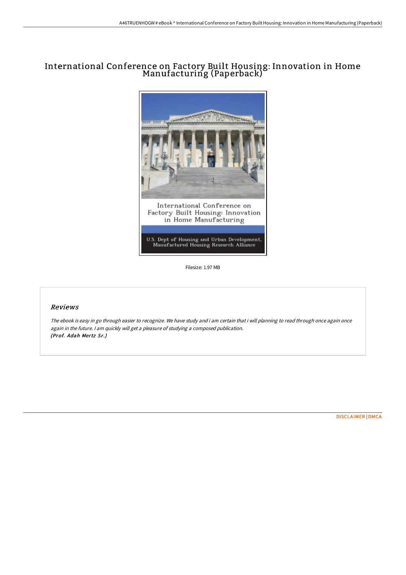## International Conference on Factory Built Housing: Innovation in Home Manufacturing (Paperback)



Filesize: 1.97 MB

## Reviews

The ebook is easy in go through easier to recognize. We have study and i am certain that i will planning to read through once again once again in the future. <sup>I</sup> am quickly will get <sup>a</sup> pleasure of studying <sup>a</sup> composed publication. (Prof. Adah Mertz Sr.)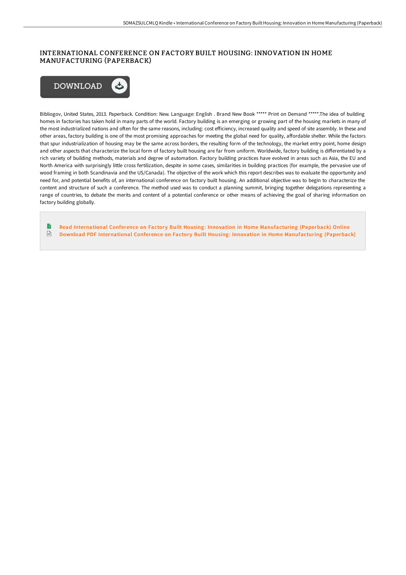## INTERNATIONAL CONFERENCE ON FACTORY BUILT HOUSING: INNOVATION IN HOME MANUFACTURING (PAPERBACK)



Bibliogov, United States, 2013. Paperback. Condition: New. Language: English . Brand New Book \*\*\*\*\* Print on Demand \*\*\*\*\*.The idea of building homes in factories has taken hold in many parts of the world. Factory building is an emerging or growing part of the housing markets in many of the most industrialized nations and often for the same reasons, including: cost efficiency, increased quality and speed of site assembly. In these and other areas, factory building is one of the most promising approaches for meeting the global need for quality, affordable shelter. While the factors that spur industrialization of housing may be the same across borders, the resulting form of the technology, the market entry point, home design and other aspects that characterize the local form of factory built housing are far from uniform. Worldwide, factory building is differentiated by a rich variety of building methods, materials and degree of automation. Factory building practices have evolved in areas such as Asia, the EU and North America with surprisingly little cross fertilization, despite in some cases, similarities in building practices (for example, the pervasive use of wood framing in both Scandinavia and the US/Canada). The objective of the work which this report describes was to evaluate the opportunity and need for, and potential benefits of, an international conference on factory built housing. An additional objective was to begin to characterize the content and structure of such a conference. The method used was to conduct a planning summit, bringing together delegations representing a range of countries, to debate the merits and content of a potential conference or other means of achieving the goal of sharing information on factory building globally.

Read International Conference on Factory Built Housing: Innovation in Home [Manufacturing](http://techno-pub.tech/international-conference-on-factory-built-housin.html) (Paperback) Online  $\frac{1}{16}$ Download PDF International Conference on Factory Built Housing: Innovation in Home [Manufacturing](http://techno-pub.tech/international-conference-on-factory-built-housin.html) (Paperback)